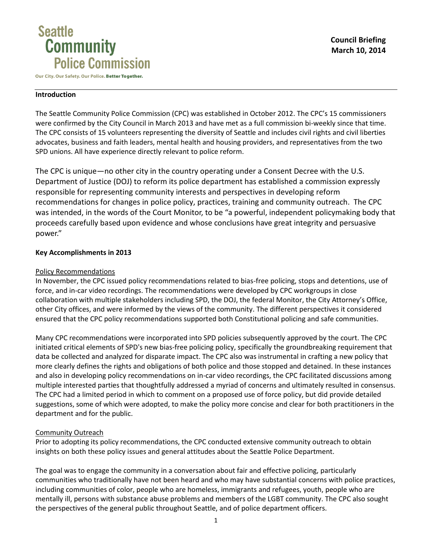

Our City. Our Safety. Our Police. Better Together.

## **Introduction**

The Seattle Community Police Commission (CPC) was established in October 2012. The CPC's 15 commissioners were confirmed by the City Council in March 2013 and have met as a full commission bi-weekly since that time. The CPC consists of 15 volunteers representing the diversity of Seattle and includes civil rights and civil liberties advocates, business and faith leaders, mental health and housing providers, and representatives from the two SPD unions. All have experience directly relevant to police reform.

The CPC is unique—no other city in the country operating under a Consent Decree with the U.S. Department of Justice (DOJ) to reform its police department has established a commission expressly responsible for representing community interests and perspectives in developing reform recommendations for changes in police policy, practices, training and community outreach. The CPC was intended, in the words of the Court Monitor, to be "a powerful, independent policymaking body that proceeds carefully based upon evidence and whose conclusions have great integrity and persuasive power."

# **Key Accomplishments in 2013**

# Policy Recommendations

In November, the CPC issued policy recommendations related to bias-free policing, stops and detentions, use of force, and in-car video recordings. The recommendations were developed by CPC workgroups in close collaboration with multiple stakeholders including SPD, the DOJ, the federal Monitor, the City Attorney's Office, other City offices, and were informed by the views of the community. The different perspectives it considered ensured that the CPC policy recommendations supported both Constitutional policing and safe communities.

Many CPC recommendations were incorporated into SPD policies subsequently approved by the court. The CPC initiated critical elements of SPD's new bias-free policing policy, specifically the groundbreaking requirement that data be collected and analyzed for disparate impact. The CPC also was instrumental in crafting a new policy that more clearly defines the rights and obligations of both police and those stopped and detained. In these instances and also in developing policy recommendations on in-car video recordings, the CPC facilitated discussions among multiple interested parties that thoughtfully addressed a myriad of concerns and ultimately resulted in consensus. The CPC had a limited period in which to comment on a proposed use of force policy, but did provide detailed suggestions, some of which were adopted, to make the policy more concise and clear for both practitioners in the department and for the public.

# Community Outreach

Prior to adopting its policy recommendations, the CPC conducted extensive community outreach to obtain insights on both these policy issues and general attitudes about the Seattle Police Department.

The goal was to engage the community in a conversation about fair and effective policing, particularly communities who traditionally have not been heard and who may have substantial concerns with police practices, including communities of color, people who are homeless, immigrants and refugees, youth, people who are mentally ill, persons with substance abuse problems and members of the LGBT community. The CPC also sought the perspectives of the general public throughout Seattle, and of police department officers.